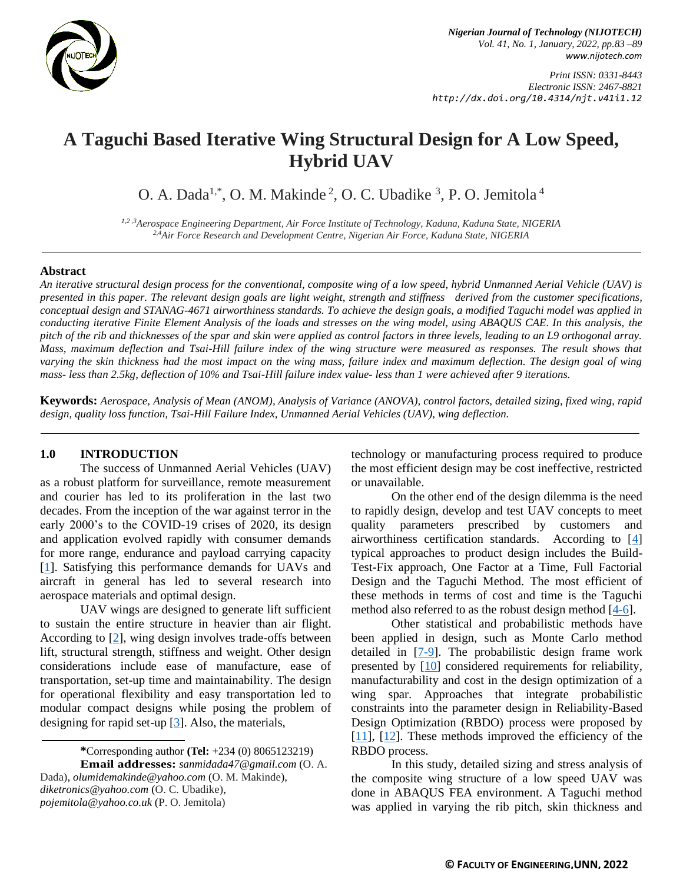

*Print ISSN: 0331-8443 Electronic ISSN: 2467-8821 http://dx.doi.org/10.4314/njt.v41i1.12*

# **A Taguchi Based Iterative Wing Structural Design for A Low Speed, Hybrid UAV**

O. A. Dada<sup>1,\*</sup>, O. M. Makinde<sup>2</sup>, O. C. Ubadike<sup>3</sup>, P. O. Jemitola<sup>4</sup>

*1,2 ,3Aerospace Engineering Department, Air Force Institute of Technology, Kaduna, Kaduna State, NIGERIA 2,4Air Force Research and Development Centre, Nigerian Air Force, Kaduna State, NIGERIA*

## **Abstract**

*An iterative structural design process for the conventional, composite wing of a low speed, hybrid Unmanned Aerial Vehicle (UAV) is presented in this paper. The relevant design goals are light weight, strength and stiffness derived from the customer specifications, conceptual design and STANAG-4671 airworthiness standards. To achieve the design goals, a modified Taguchi model was applied in conducting iterative Finite Element Analysis of the loads and stresses on the wing model, using ABAQUS CAE. In this analysis, the pitch of the rib and thicknesses of the spar and skin were applied as control factors in three levels, leading to an L9 orthogonal array. Mass, maximum deflection and Tsai-Hill failure index of the wing structure were measured as responses. The result shows that varying the skin thickness had the most impact on the wing mass, failure index and maximum deflection. The design goal of wing mass- less than 2.5kg, deflection of 10% and Tsai-Hill failure index value- less than 1 were achieved after 9 iterations.*

**Keywords:** *Aerospace, Analysis of Mean (ANOM), Analysis of Variance (ANOVA), control factors, detailed sizing, fixed wing, rapid design, quality loss function, Tsai-Hill Failure Index, Unmanned Aerial Vehicles (UAV), wing deflection.*

# **1.0 INTRODUCTION**

The success of Unmanned Aerial Vehicles (UAV) as a robust platform for surveillance, remote measurement and courier has led to its proliferation in the last two decades. From the inception of the war against terror in the early 2000's to the COVID-19 crises of 2020, its design and application evolved rapidly with consumer demands for more range, endurance and payload carrying capacity [\[1\]](#page-5-0). Satisfying this performance demands for UAVs and aircraft in general has led to several research into aerospace materials and optimal design.

UAV wings are designed to generate lift sufficient to sustain the entire structure in heavier than air flight. According to [\[2\]](#page-5-1), wing design involves trade-offs between lift, structural strength, stiffness and weight. Other design considerations include ease of manufacture, ease of transportation, set-up time and maintainability. The design for operational flexibility and easy transportation led to modular compact designs while posing the problem of designing for rapid set-up  $[3]$ . Also, the materials,

**Email addresses:** *[sanmidada47@gmail.com](mailto:sanmidada47@gmail.com)* (O. A. Dada), *[olumidemakinde@yahoo.com](mailto:olumidemakinde@yahoo.com)* (O. M. Makinde), *[diketronics@yahoo.com](mailto:diketronics@yahoo.com)* (O. C. Ubadike)*,* 

*[pojemitola@yahoo.co.uk](mailto:pojemitola@yahoo.co.uk)* (P. O. Jemitola)

technology or manufacturing process required to produce the most efficient design may be cost ineffective, restricted or unavailable.

On the other end of the design dilemma is the need to rapidly design, develop and test UAV concepts to meet quality parameters prescribed by customers and airworthiness certification standards. According to [\[4\]](#page-5-3) typical approaches to product design includes the Build-Test-Fix approach, One Factor at a Time, Full Factorial Design and the Taguchi Method. The most efficient of these methods in terms of cost and time is the Taguchi method also referred to as the robust design method [\[4-](#page-5-3)[6\]](#page-5-4).

Other statistical and probabilistic methods have been applied in design, such as Monte Carlo method detailed in [\[7](#page-5-5)[-9\]](#page-5-6). The probabilistic design frame work presented by [\[10\]](#page-5-7) considered requirements for reliability, manufacturability and cost in the design optimization of a wing spar. Approaches that integrate probabilistic constraints into the parameter design in Reliability-Based Design Optimization (RBDO) process were proposed by [\[11\]](#page-5-8), [\[12\]](#page-6-0). These methods improved the efficiency of the RBDO process.

In this study, detailed sizing and stress analysis of the composite wing structure of a low speed UAV was done in ABAQUS FEA environment. A Taguchi method was applied in varying the rib pitch, skin thickness and

**<sup>\*</sup>**Corresponding author **[\(Te](mailto:samnnaemeka.ugwu@unn.edu.ng)l:** +234 (0) 8065123219)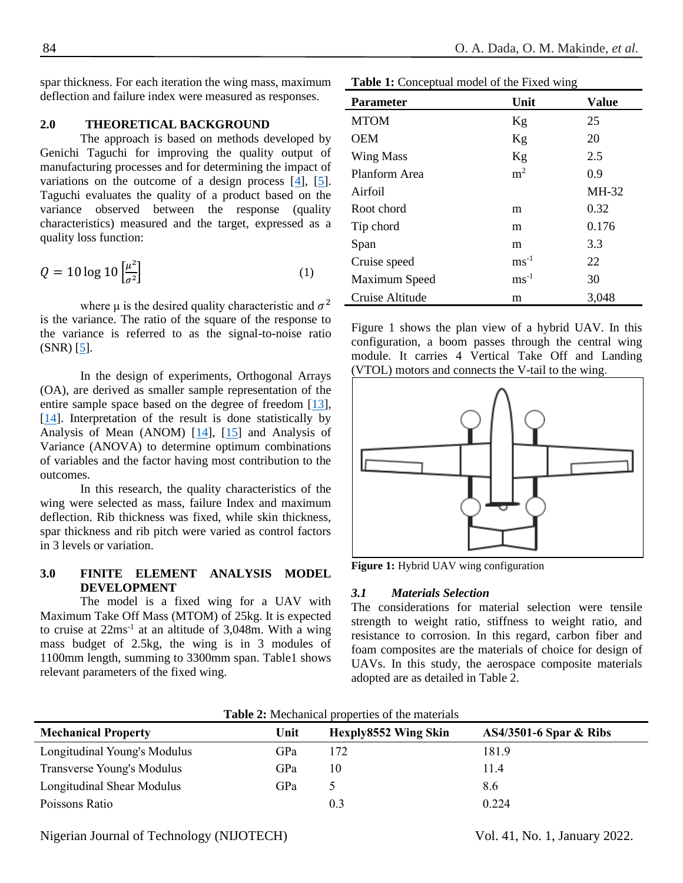spar thickness. For each iteration the wing mass, maximum deflection and failure index were measured as responses.

# **2.0 THEORETICAL BACKGROUND**

The approach is based on methods developed by Genichi Taguchi for improving the quality output of manufacturing processes and for determining the impact of variations on the outcome of a design process [\[4\]](#page-5-3), [\[5\]](#page-5-9). Taguchi evaluates the quality of a product based on the variance observed between the response (quality characteristics) measured and the target, expressed as a quality loss function:

$$
Q = 10 \log 10 \left[ \frac{\mu^2}{\sigma^2} \right] \tag{1}
$$

where  $\mu$  is the desired quality characteristic and  $\sigma^2$ is the variance. The ratio of the square of the response to the variance is referred to as the signal-to-noise ratio (SNR) [\[5\]](#page-5-9).

In the design of experiments, Orthogonal Arrays (OA), are derived as smaller sample representation of the entire sample space based on the degree of freedom [\[13\]](#page-6-1), [\[14\]](#page-6-2). Interpretation of the result is done statistically by Analysis of Mean (ANOM) [\[14\]](#page-6-2), [\[15\]](#page-6-3) and Analysis of Variance (ANOVA) to determine optimum combinations of variables and the factor having most contribution to the outcomes.

In this research, the quality characteristics of the wing were selected as mass, failure Index and maximum deflection. Rib thickness was fixed, while skin thickness, spar thickness and rib pitch were varied as control factors in 3 levels or variation.

# **3.0 FINITE ELEMENT ANALYSIS MODEL DEVELOPMENT**

The model is a fixed wing for a UAV with Maximum Take Off Mass (MTOM) of 25kg. It is expected to cruise at  $22ms^{-1}$  at an altitude of  $3,048m$ . With a wing mass budget of 2.5kg, the wing is in 3 modules of 1100mm length, summing to 3300mm span. Table1 shows relevant parameters of the fixed wing.

|  | Table 1: Conceptual model of the Fixed wing |  |  |  |
|--|---------------------------------------------|--|--|--|
|--|---------------------------------------------|--|--|--|

| <b>Parameter</b> | Unit             | <b>Value</b> |
|------------------|------------------|--------------|
| <b>MTOM</b>      | Kg               | 25           |
| <b>OEM</b>       | Kg               | 20           |
| <b>Wing Mass</b> | Kg               | 2.5          |
| Planform Area    | m <sup>2</sup>   | 0.9          |
| Airfoil          |                  | MH-32        |
| Root chord       | m                | 0.32         |
| Tip chord        | m                | 0.176        |
| Span             | m                | 3.3          |
| Cruise speed     | $ms^{-1}$        | 22           |
| Maximum Speed    | $\text{ms}^{-1}$ | 30           |
| Cruise Altitude  | m                | 3,048        |

Figure 1 shows the plan view of a hybrid UAV. In this configuration, a boom passes through the central wing module. It carries 4 Vertical Take Off and Landing (VTOL) motors and connects the V-tail to the wing.



**Figure 1:** Hybrid UAV wing configuration

#### *3.1 Materials Selection*

The considerations for material selection were tensile strength to weight ratio, stiffness to weight ratio, and resistance to corrosion. In this regard, carbon fiber and foam composites are the materials of choice for design of UAVs. In this study, the aerospace composite materials adopted are as detailed in Table 2.

| <b>Mechanical Property</b>   | Unit | Hexply8552 Wing Skin | <b>AS4/3501-6 Spar &amp; Ribs</b> |
|------------------------------|------|----------------------|-----------------------------------|
| Longitudinal Young's Modulus | GPa  | 172                  | 181.9                             |
| Transverse Young's Modulus   | GPa  | 10                   | 11.4                              |
| Longitudinal Shear Modulus   | GPa  |                      | 8.6                               |
| Poissons Ratio               |      | 0.3                  | 0.224                             |

**Table 2:** Mechanical properties of the materials

Nigerian Journal of Technology (NIJOTECH) Vol. 41, No. 1, January 2022.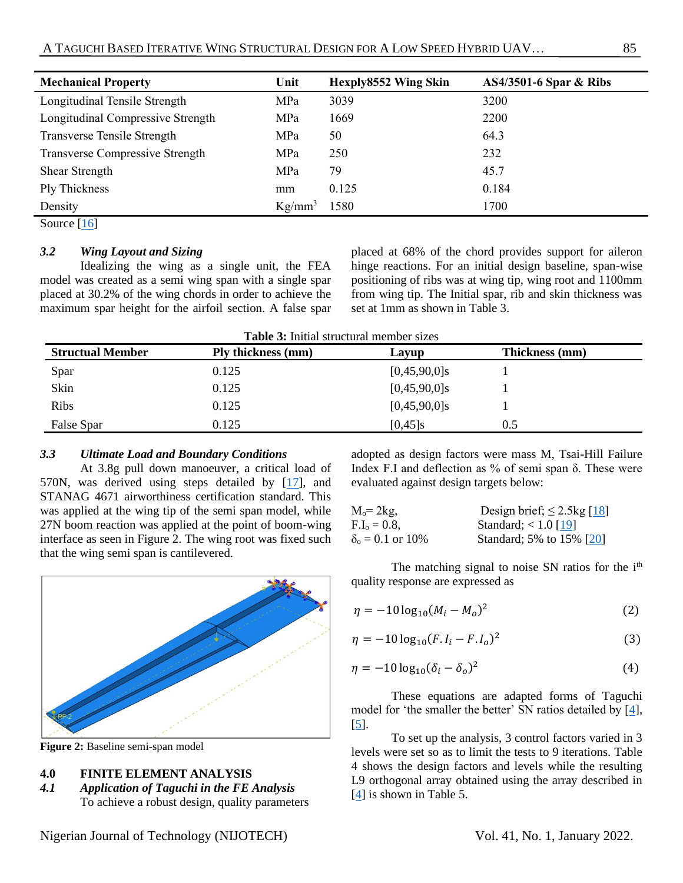| <b>Mechanical Property</b>        | Unit      | Hexply8552 Wing Skin | <b>AS4/3501-6 Spar &amp; Ribs</b> |
|-----------------------------------|-----------|----------------------|-----------------------------------|
| Longitudinal Tensile Strength     | MPa       | 3039                 | 3200                              |
| Longitudinal Compressive Strength | MPa       | 1669                 | 2200                              |
| Transverse Tensile Strength       | MPa       | 50                   | 64.3                              |
| Transverse Compressive Strength   | MPa       | 250                  | 232                               |
| <b>Shear Strength</b>             | MPa       | 79                   | 45.7                              |
| Ply Thickness                     | mm        | 0.125                | 0.184                             |
| Density                           | $Kg/mm^3$ | 1580                 | 1700                              |

Source [\[16\]](#page-6-4)

# *3.2 Wing Layout and Sizing*

Idealizing the wing as a single unit, the FEA model was created as a semi wing span with a single spar placed at 30.2% of the wing chords in order to achieve the maximum spar height for the airfoil section. A false spar placed at 68% of the chord provides support for aileron hinge reactions. For an initial design baseline, span-wise positioning of ribs was at wing tip, wing root and 1100mm from wing tip. The Initial spar, rib and skin thickness was set at 1mm as shown in Table 3.

**Table 3:** Initial structural member sizes

| <b>Structual Member</b> | Ply thickness (mm) | Layup           | Thickness (mm) |
|-------------------------|--------------------|-----------------|----------------|
| Spar                    | 0.125              | $[0,45,90,0]$ s |                |
| Skin                    | 0.125              | $[0,45,90,0]$ s |                |
| Ribs                    | 0.125              | $[0,45,90,0]$ s |                |
| False Spar              | 0.125              | $[0,45]$ s      | 0.5            |

# *3.3 Ultimate Load and Boundary Conditions*

At 3.8g pull down manoeuver, a critical load of 570N, was derived using steps detailed by [\[17\]](#page-6-5), and STANAG 4671 airworthiness certification standard. This was applied at the wing tip of the semi span model, while 27N boom reaction was applied at the point of boom-wing interface as seen in Figure 2. The wing root was fixed such that the wing semi span is cantilevered.



**Figure 2:** Baseline semi-span model

## **4.0 FINITE ELEMENT ANALYSIS**

*4.1 Application of Taguchi in the FE Analysis* To achieve a robust design, quality parameters adopted as design factors were mass M, Tsai-Hill Failure Index F.I and deflection as % of semi span δ. These were evaluated against design targets below:

| $M_0 = 2kg$ ,           | Design brief; $\leq$ 2.5kg [18] |
|-------------------------|---------------------------------|
| $F.I_0 = 0.8$ .         | Standard; $< 1.0$ [19]          |
| $\delta_0 = 0.1$ or 10% | Standard; 5% to 15% [20]        |

The matching signal to noise SN ratios for the  $i<sup>th</sup>$ quality response are expressed as

$$
\eta = -10 \log_{10} (M_i - M_o)^2 \tag{2}
$$

$$
\eta = -10 \log_{10} (F. I_i - F. I_o)^2 \tag{3}
$$

$$
\eta = -10 \log_{10} (\delta_i - \delta_o)^2 \tag{4}
$$

These equations are adapted forms of Taguchi model for 'the smaller the better' SN ratios detailed by [\[4\]](#page-5-3), [\[5\]](#page-5-9).

To set up the analysis, 3 control factors varied in 3 levels were set so as to limit the tests to 9 iterations. Table 4 shows the design factors and levels while the resulting L9 orthogonal array obtained using the array described in [\[4\]](#page-5-3) is shown in Table 5.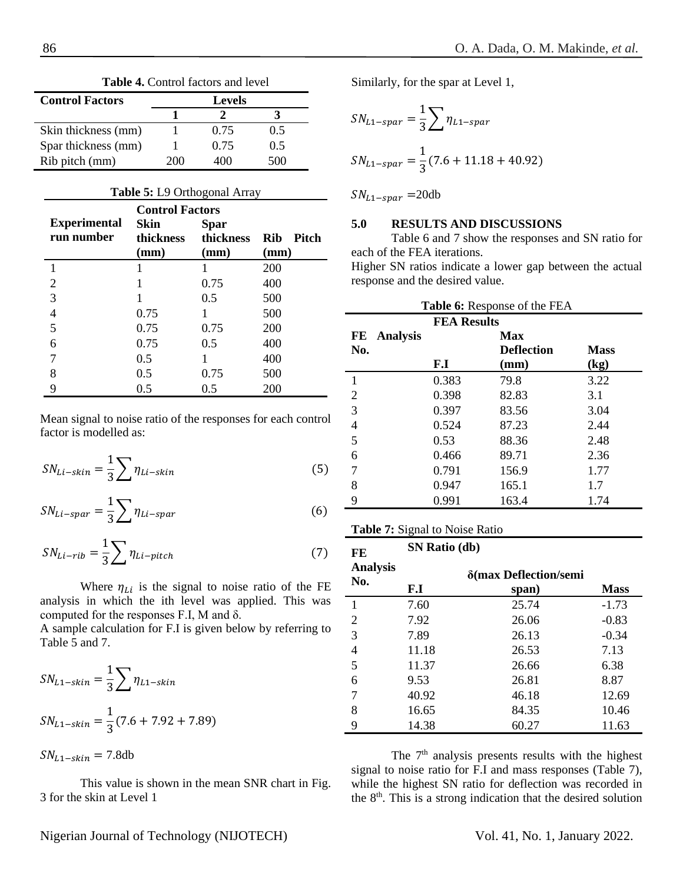Similarly, for the spar at Level 1,

$$
SN_{L1-spar} = \frac{1}{3} \sum n_{L1-spar}
$$
  

$$
SN_{L1-spar} = \frac{1}{3} (7.6 + 11.18 + 40.92)
$$

 $SN_{L1-spar}$  =20db

#### **5.0 RESULTS AND DISCUSSIONS**

Table 6 and 7 show the responses and SN ratio for each of the FEA iterations.

Higher SN ratios indicate a lower gap between the actual response and the desired value.

|     | <b>Table 6:</b> Response of the FEA |                    |                   |                          |  |
|-----|-------------------------------------|--------------------|-------------------|--------------------------|--|
|     |                                     | <b>FEA Results</b> |                   |                          |  |
| FE. | <b>Analysis</b>                     |                    | <b>Max</b>        |                          |  |
| No. |                                     |                    | <b>Deflection</b> | <b>Mass</b>              |  |
|     |                                     | F.I                | (mm)              | $\left(\text{kg}\right)$ |  |
| 1   |                                     | 0.383              | 79.8              | 3.22                     |  |
| 2   |                                     | 0.398              | 82.83             | 3.1                      |  |
| 3   |                                     | 0.397              | 83.56             | 3.04                     |  |
| 4   |                                     | 0.524              | 87.23             | 2.44                     |  |
| 5   |                                     | 0.53               | 88.36             | 2.48                     |  |
| 6   |                                     | 0.466              | 89.71             | 2.36                     |  |
| 7   |                                     | 0.791              | 156.9             | 1.77                     |  |
| 8   |                                     | 0.947              | 165.1             | 1.7                      |  |
| 9   |                                     | 0.991              | 163.4             | 1.74                     |  |

#### **Table 7:** Signal to Noise Ratio

**SN Ratio (db)**

| FE                     | $51$ v Kalio (ud) |             |         |  |  |
|------------------------|-------------------|-------------|---------|--|--|
| <b>Analysis</b><br>No. | F.I               | <b>Mass</b> |         |  |  |
| 1                      | 7.60              | 25.74       | $-1.73$ |  |  |
| $\overline{2}$         | 7.92              | 26.06       | $-0.83$ |  |  |
| 3                      | 7.89              | 26.13       | $-0.34$ |  |  |
| 4                      | 11.18             | 26.53       | 7.13    |  |  |
| 5                      | 11.37             | 26.66       | 6.38    |  |  |
| 6                      | 9.53              | 26.81       | 8.87    |  |  |
| 7                      | 40.92             | 46.18       | 12.69   |  |  |
| 8                      | 16.65             | 84.35       | 10.46   |  |  |
| 9                      | 14.38             | 60.27       | 11.63   |  |  |

The  $7<sup>th</sup>$  analysis presents results with the highest signal to noise ratio for F.I and mass responses (Table 7), while the highest SN ratio for deflection was recorded in the  $8<sup>th</sup>$ . This is a strong indication that the desired solution

**Table 4.** Control factors and level

| <b>Control Factors</b> |      | <b>Levels</b> |     |
|------------------------|------|---------------|-----|
|                        |      |               |     |
| Skin thickness (mm)    |      | 0.75          | 0.5 |
| Spar thickness (mm)    |      | 0.75          | 0.5 |
| Rib pitch (mm)         | 200. | 400           | 500 |

| Table 5: L9 Orthogonal Array                                         |           |           |                      |  |  |
|----------------------------------------------------------------------|-----------|-----------|----------------------|--|--|
| <b>Control Factors</b><br><b>Experimental</b><br>Skin<br><b>Spar</b> |           |           |                      |  |  |
| run number                                                           | thickness | thickness | <b>Pitch</b><br>Rib. |  |  |
|                                                                      | (mm)      | (mm)      | (mm)                 |  |  |
|                                                                      |           |           | 200                  |  |  |
| 2                                                                    | 1         | 0.75      | 400                  |  |  |
| 3                                                                    |           | 0.5       | 500                  |  |  |
| 4                                                                    | 0.75      |           | 500                  |  |  |
| 5                                                                    | 0.75      | 0.75      | 200                  |  |  |
| 6                                                                    | 0.75      | 0.5       | 400                  |  |  |
|                                                                      | 0.5       |           | 400                  |  |  |
| 8                                                                    | 0.5       | 0.75      | 500                  |  |  |
| 9                                                                    | 0.5       | 0.5       | 200                  |  |  |

Mean signal to noise ratio of the responses for each control factor is modelled as:

$$
SN_{Li-skin} = \frac{1}{3} \sum \eta_{Li-skin}
$$
 (5)

$$
SN_{Li-spar} = \frac{1}{3} \sum \eta_{Li-spar} \tag{6}
$$

$$
SN_{Li-rib} = \frac{1}{3} \sum n_{Li-pitch}
$$
 (7)

Where  $\eta_{Li}$  is the signal to noise ratio of the FE analysis in which the ith level was applied. This was computed for the responses F.I, M and δ.

A sample calculation for F.I is given below by referring to Table 5 and 7.

$$
SN_{L1-skin} = \frac{1}{3} \sum \eta_{L1-skin}
$$

$$
SN_{L1-skin} = \frac{1}{3} (7.6 + 7.92 + 7.89)
$$

 $SN<sub>L1-skin</sub> = 7.8db$ 

This value is shown in the mean SNR chart in Fig. 3 for the skin at Level 1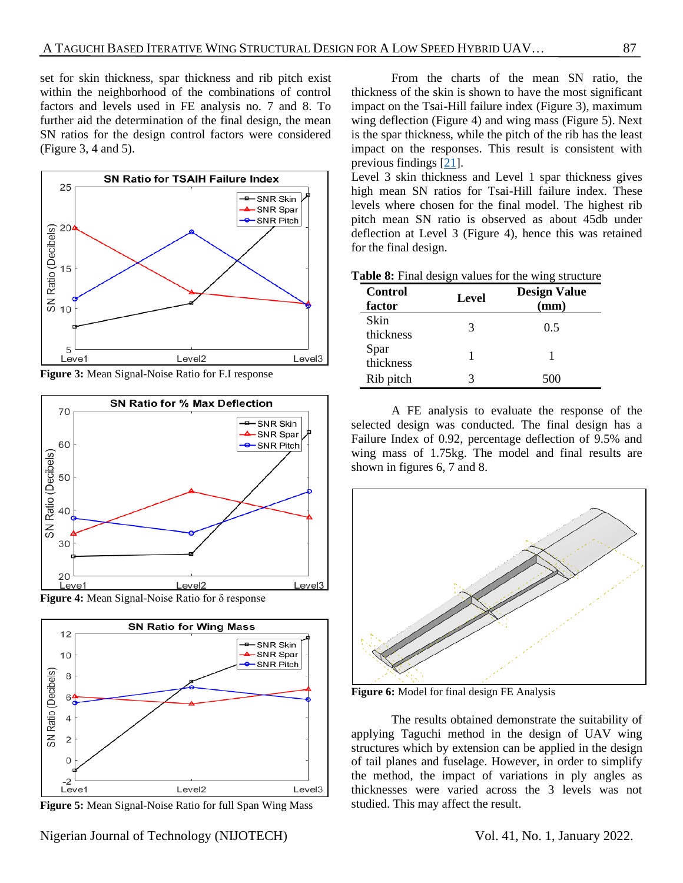set for skin thickness, spar thickness and rib pitch exist within the neighborhood of the combinations of control factors and levels used in FE analysis no. 7 and 8. To further aid the determination of the final design, the mean SN ratios for the design control factors were considered (Figure 3, 4 and 5).



**Figure 3:** Mean Signal-Noise Ratio for F.I response







**Figure 5:** Mean Signal-Noise Ratio for full Span Wing Mass

From the charts of the mean SN ratio, the thickness of the skin is shown to have the most significant impact on the Tsai-Hill failure index (Figure 3), maximum wing deflection (Figure 4) and wing mass (Figure 5). Next is the spar thickness, while the pitch of the rib has the least impact on the responses. This result is consistent with previous findings [\[21\]](#page-6-9).

Level 3 skin thickness and Level 1 spar thickness gives high mean SN ratios for Tsai-Hill failure index. These levels where chosen for the final model. The highest rib pitch mean SN ratio is observed as about 45db under deflection at Level 3 (Figure 4), hence this was retained for the final design.

|  |  |  |  |  |  |  | Table 8: Final design values for the wing structure |
|--|--|--|--|--|--|--|-----------------------------------------------------|
|--|--|--|--|--|--|--|-----------------------------------------------------|

| Control<br>factor | Level | <b>Design Value</b><br>(mm) |
|-------------------|-------|-----------------------------|
| Skin<br>thickness | 3     | 0.5                         |
| Spar<br>thickness |       |                             |
| Rib pitch         |       | 500                         |

A FE analysis to evaluate the response of the selected design was conducted. The final design has a Failure Index of 0.92, percentage deflection of 9.5% and wing mass of 1.75kg. The model and final results are shown in figures 6, 7 and 8.



**Figure 6:** Model for final design FE Analysis

The results obtained demonstrate the suitability of applying Taguchi method in the design of UAV wing structures which by extension can be applied in the design of tail planes and fuselage. However, in order to simplify the method, the impact of variations in ply angles as thicknesses were varied across the 3 levels was not studied. This may affect the result.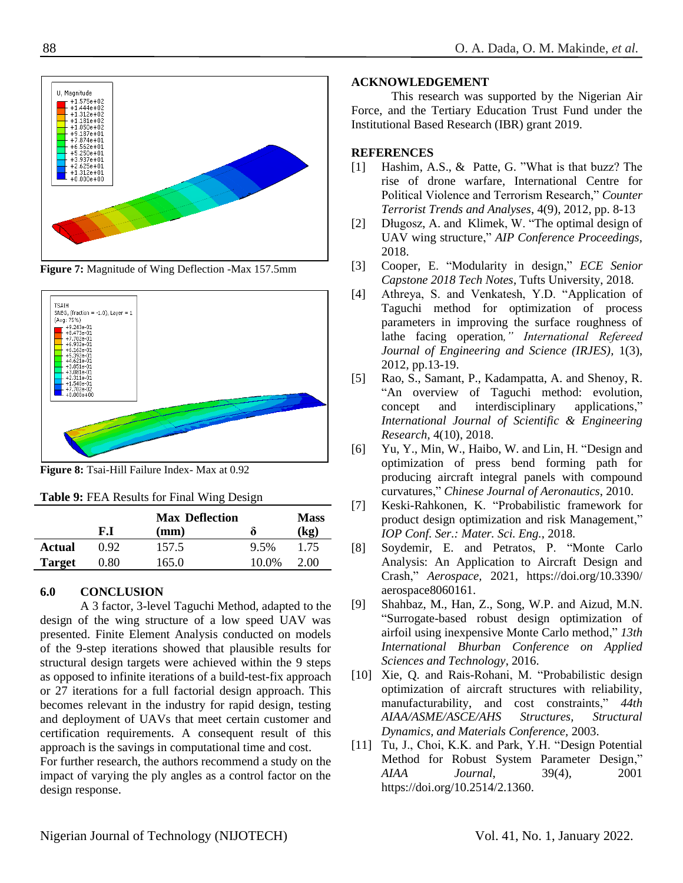$+1.575e+02$ <br> $+1.444e+02$  $+1.312e+02$ +1.181e+02  $312e + 01$ 0.000e+00+

**Figure 7:** Magnitude of Wing Deflection -Max 157.5mm



**Figure 8:** Tsai-Hill Failure Index- Max at 0.92

| <b>Table 9: FEA Results for Final Wing Design</b> |  |  |  |
|---------------------------------------------------|--|--|--|
|---------------------------------------------------|--|--|--|

|               | F.I  | <b>Max Deflection</b><br>$(\mathbf{mm})$ | 0     | <b>Mass</b><br>(kg) |
|---------------|------|------------------------------------------|-------|---------------------|
| Actual        | 0.92 | 157.5                                    | 9.5%  | 1.75                |
| <b>Target</b> | 0.80 | 165.0                                    | 10.0% | 2.00                |
|               |      |                                          |       |                     |

## **6.0 CONCLUSION**

A 3 factor, 3-level Taguchi Method, adapted to the design of the wing structure of a low speed UAV was presented. Finite Element Analysis conducted on models of the 9-step iterations showed that plausible results for structural design targets were achieved within the 9 steps as opposed to infinite iterations of a build-test-fix approach or 27 iterations for a full factorial design approach. This becomes relevant in the industry for rapid design, testing and deployment of UAVs that meet certain customer and certification requirements. A consequent result of this approach is the savings in computational time and cost. For further research, the authors recommend a study on the

impact of varying the ply angles as a control factor on the design response.

#### **ACKNOWLEDGEMENT**

This research was supported by the Nigerian Air Force, and the Tertiary Education Trust Fund under the Institutional Based Research (IBR) grant 2019.

#### **REFERENCES**

- <span id="page-5-0"></span>[1] Hashim, A.S., & Patte, G. "What is that buzz? The rise of drone warfare, International Centre for Political Violence and Terrorism Research," *Counter Terrorist Trends and Analyses*, 4(9), 2012, pp. 8-13
- <span id="page-5-1"></span>[2] Długosz, A. and Klimek, W. "The optimal design of UAV wing structure," *AIP Conference Proceedings,* 2018.
- <span id="page-5-2"></span>[3] Cooper, E. "Modularity in design," *ECE Senior Capstone 2018 Tech Notes*, Tufts University, 2018.
- <span id="page-5-3"></span>[4] Athreya, S. and Venkatesh, Y.D. "Application of Taguchi method for optimization of process parameters in improving the surface roughness of lathe facing operation*," International Refereed Journal of Engineering and Science (IRJES),* 1(3), 2012, pp.13-19.
- <span id="page-5-9"></span>[5] Rao, S., Samant, P., Kadampatta, A. and Shenoy, R. "An overview of Taguchi method: evolution, concept and interdisciplinary applications," *International Journal of Scientific & Engineering Research*, 4(10), 2018.
- <span id="page-5-4"></span>[6] Yu, Y., Min, W., Haibo, W. and Lin, H. "Design and optimization of press bend forming path for producing aircraft integral panels with compound curvatures," *Chinese Journal of Aeronautics*, 2010.
- <span id="page-5-5"></span>[7] Keski-Rahkonen, K. "Probabilistic framework for product design optimization and risk Management," *IOP Conf. Ser.: Mater. Sci. Eng.*, 2018.
- [8] Soydemir, E. and Petratos, P. "Monte Carlo Analysis: An Application to Aircraft Design and Crash," *Aerospace,* 2021, https://doi.org/10.3390/ aerospace8060161.
- <span id="page-5-6"></span>[9] Shahbaz, M., Han, Z., Song, W.P. and Aizud, M.N. "Surrogate-based robust design optimization of airfoil using inexpensive Monte Carlo method," *13th International Bhurban Conference on Applied Sciences and Technology*, 2016.
- <span id="page-5-7"></span>[10] Xie, Q. and Rais-Rohani, M. "Probabilistic design optimization of aircraft structures with reliability, manufacturability, and cost constraints," *44th AIAA/ASME/ASCE/AHS Structures, Structural Dynamics, and Materials Conference,* 2003.
- <span id="page-5-8"></span>[11] Tu, J., Choi, K.K. and Park, Y.H. "Design Potential Method for Robust System Parameter Design," *AIAA Journal*, 39(4), 2001 https://doi.org/10.2514/2.1360.

II. Magnitude